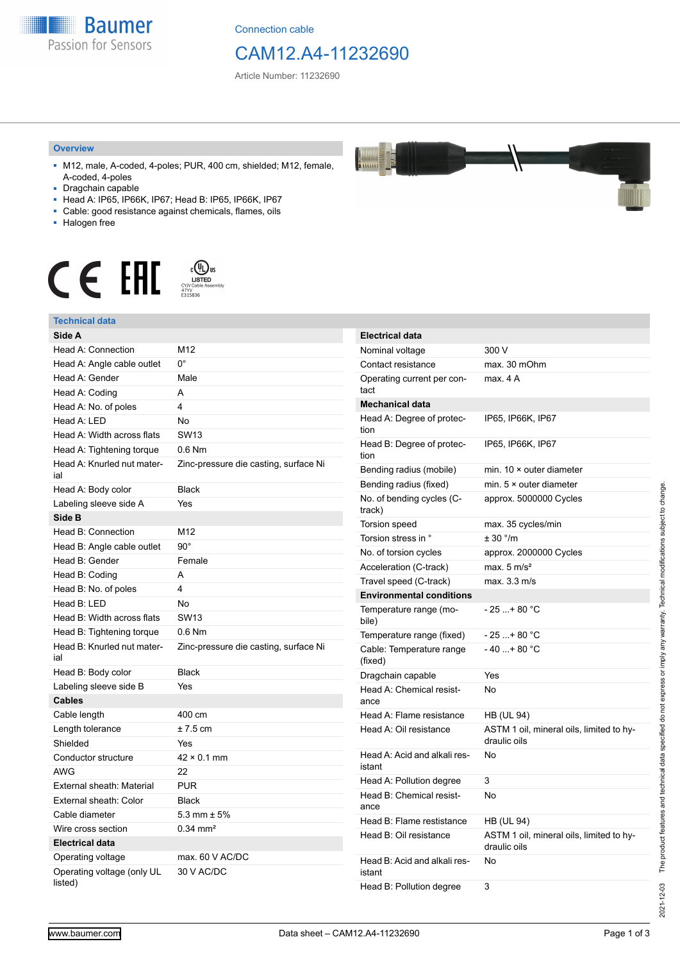

Connection cable

## CAM12.A4-11232690

Article Number: 11232690

### **Overview**

- M12, male, A-coded, 4-poles; PUR, 400 cm, shielded; M12, female, A-coded, 4-poles
- Dragchain capable
- Head A: IP65, IP66K, IP67; Head B: IP65, IP66K, IP67
- Cable: good resistance against chemicals, flames, oils
- Halogen free



#### **Technical data**

| Technical data                        |                                       |
|---------------------------------------|---------------------------------------|
| Side A                                |                                       |
| Head A: Connection                    | M12                                   |
| Head A: Angle cable outlet            | $0^{\circ}$                           |
| Head A: Gender                        | Male                                  |
| Head A: Coding                        | A                                     |
| Head A: No. of poles                  | 4                                     |
| Head A: LED                           | <b>No</b>                             |
| Head A: Width across flats            | SW13                                  |
| Head A: Tightening torque             | $0.6$ Nm                              |
| Head A: Knurled nut mater-<br>ial     | Zinc-pressure die casting, surface Ni |
| Head A: Body color                    | <b>Black</b>                          |
| Labeling sleeve side A                | Yes                                   |
| Side B                                |                                       |
| Head B: Connection                    | M12                                   |
| Head B: Angle cable outlet            | $90^\circ$                            |
| Head B: Gender                        | Female                                |
| Head B: Coding                        | А                                     |
| Head B: No. of poles                  | 4                                     |
| Head B: LED                           | No                                    |
| Head B: Width across flats            | <b>SW13</b>                           |
| Head B: Tightening torque             | $0.6$ Nm                              |
| Head B: Knurled nut mater-<br>ial     | Zinc-pressure die casting, surface Ni |
| Head B: Body color                    | <b>Black</b>                          |
| Labeling sleeve side B                | Yes                                   |
| <b>Cables</b>                         |                                       |
| Cable length                          | 400 cm                                |
| Length tolerance                      | $± 7.5$ cm                            |
| Shielded                              | Yes                                   |
| Conductor structure                   | $42 \times 0.1$ mm                    |
| <b>AWG</b>                            | 22                                    |
| External sheath: Material             | <b>PUR</b>                            |
| External sheath: Color                | <b>Black</b>                          |
| Cable diameter                        | 5.3 mm $\pm$ 5%                       |
| Wire cross section                    | $0.34$ mm <sup>2</sup>                |
| <b>Electrical data</b>                |                                       |
| Operating voltage                     | max. 60 V AC/DC                       |
| Operating voltage (only UL<br>listed) | 30 V AC/DC                            |

| <b>Electrical data</b>                 |                                                          |
|----------------------------------------|----------------------------------------------------------|
| Nominal voltage                        | 300 V                                                    |
| Contact resistance                     | max. 30 mOhm                                             |
| Operating current per con-<br>tact     | max. 4A                                                  |
| <b>Mechanical data</b>                 |                                                          |
| Head A: Degree of protec-<br>tion      | IP65, IP66K, IP67                                        |
| Head B: Degree of protec-<br>tion      | IP65, IP66K, IP67                                        |
| Bending radius (mobile)                | min. $10 \times$ outer diameter                          |
| Bending radius (fixed)                 | min. $5 \times$ outer diameter                           |
| No. of bending cycles (C-<br>track)    | approx. 5000000 Cycles                                   |
| Torsion speed                          | max. 35 cycles/min                                       |
| Torsion stress in °                    | ± 30 °/m                                                 |
| No. of torsion cycles                  | approx. 2000000 Cycles                                   |
| Acceleration (C-track)                 | max. $5 \text{ m/s}^2$                                   |
| Travel speed (C-track)                 | max. 3.3 m/s                                             |
| <b>Environmental conditions</b>        |                                                          |
| Temperature range (mo-<br>bile)        | - 25 + 80 °C                                             |
| Temperature range (fixed)              | - 25 + 80 °C                                             |
| Cable: Temperature range<br>(fixed)    | $-40+80 °C$                                              |
| Dragchain capable                      | Yes                                                      |
| Head A: Chemical resist-<br>ance       | No                                                       |
| Head A: Flame resistance               | <b>HB (UL 94)</b>                                        |
| Head A: Oil resistance                 | ASTM 1 oil, mineral oils, limited to hy-<br>draulic oils |
| Head A: Acid and alkali res-<br>istant | No                                                       |
| Head A: Pollution degree               | 3                                                        |
| Head B: Chemical resist-<br>ance       | No                                                       |
| Head B: Flame restistance              | <b>HB (UL 94)</b>                                        |
| Head B: Oil resistance                 | ASTM 1 oil, mineral oils, limited to hy-<br>draulic oils |
| Head B: Acid and alkali res-<br>istant | No                                                       |
| Head B: Pollution degree               | 3                                                        |



2021-12-03

2021-12-03 The product features and technical data specified do not express or imply any warranty. Technical modifications subject to change.

The product features and technical data specified do not express or imply any warranty. Technical modifications subject to change.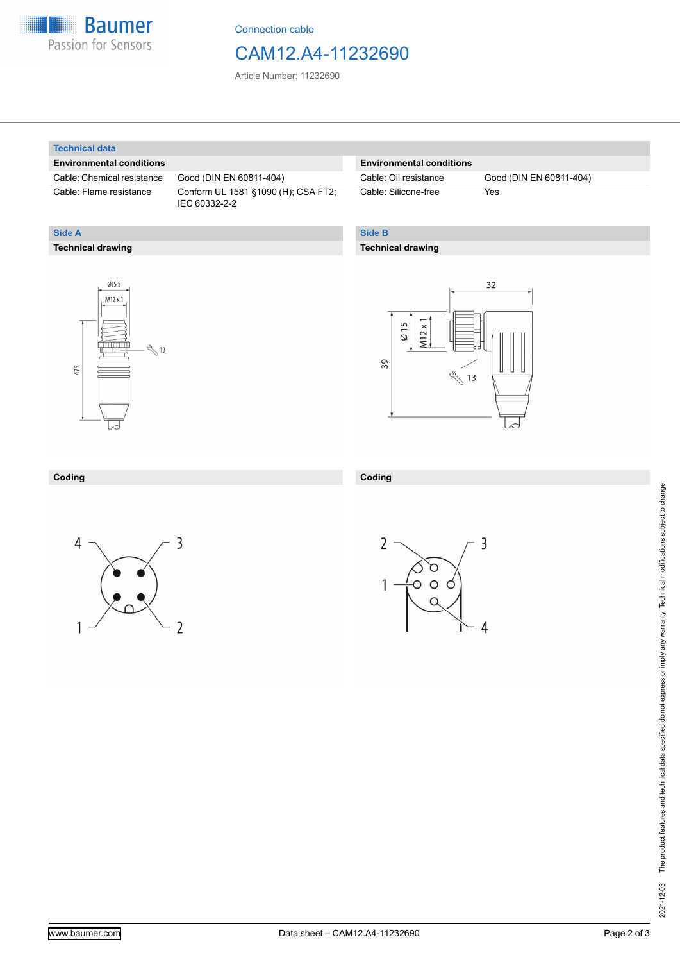

Connection cable

## CAM12.A4-11232690

Article Number: 11232690

### **Technical data**

**Technical drawing**

**Side A**

### **Environmental conditions**

Cable: Chemical resistance Good (DIN EN 60811-404)

Cable: Flame resistance Conform UL 1581 §1090 (H); CSA FT2; IEC 60332-2-2

## **Environmental conditions**

Cable: Silicone-free Yes

Cable: Oil resistance Good (DIN EN 60811-404)

## **Side B**

**Coding**

## **Technical drawing**





#### **Coding**





3

4